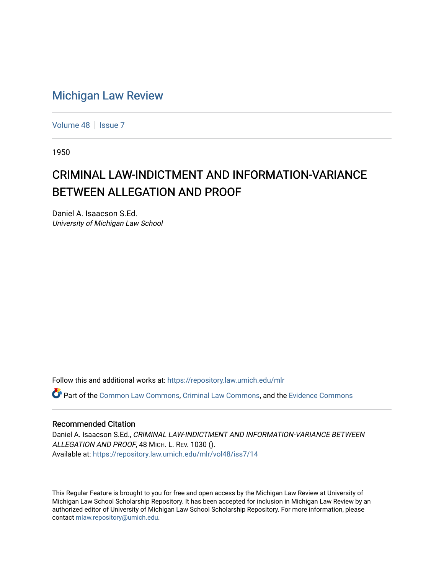## [Michigan Law Review](https://repository.law.umich.edu/mlr)

[Volume 48](https://repository.law.umich.edu/mlr/vol48) | [Issue 7](https://repository.law.umich.edu/mlr/vol48/iss7)

1950

## CRIMINAL LAW-INDICTMENT AND INFORMATION-VARIANCE BETWEEN ALLEGATION AND PROOF

Daniel A. Isaacson S.Ed. University of Michigan Law School

Follow this and additional works at: [https://repository.law.umich.edu/mlr](https://repository.law.umich.edu/mlr?utm_source=repository.law.umich.edu%2Fmlr%2Fvol48%2Fiss7%2F14&utm_medium=PDF&utm_campaign=PDFCoverPages) 

Part of the [Common Law Commons,](http://network.bepress.com/hgg/discipline/1120?utm_source=repository.law.umich.edu%2Fmlr%2Fvol48%2Fiss7%2F14&utm_medium=PDF&utm_campaign=PDFCoverPages) [Criminal Law Commons](http://network.bepress.com/hgg/discipline/912?utm_source=repository.law.umich.edu%2Fmlr%2Fvol48%2Fiss7%2F14&utm_medium=PDF&utm_campaign=PDFCoverPages), and the [Evidence Commons](http://network.bepress.com/hgg/discipline/601?utm_source=repository.law.umich.edu%2Fmlr%2Fvol48%2Fiss7%2F14&utm_medium=PDF&utm_campaign=PDFCoverPages) 

## Recommended Citation

Daniel A. Isaacson S.Ed., CRIMINAL LAW-INDICTMENT AND INFORMATION-VARIANCE BETWEEN ALLEGATION AND PROOF, 48 MICH. L. REV. 1030 (). Available at: [https://repository.law.umich.edu/mlr/vol48/iss7/14](https://repository.law.umich.edu/mlr/vol48/iss7/14?utm_source=repository.law.umich.edu%2Fmlr%2Fvol48%2Fiss7%2F14&utm_medium=PDF&utm_campaign=PDFCoverPages) 

This Regular Feature is brought to you for free and open access by the Michigan Law Review at University of Michigan Law School Scholarship Repository. It has been accepted for inclusion in Michigan Law Review by an authorized editor of University of Michigan Law School Scholarship Repository. For more information, please contact [mlaw.repository@umich.edu](mailto:mlaw.repository@umich.edu).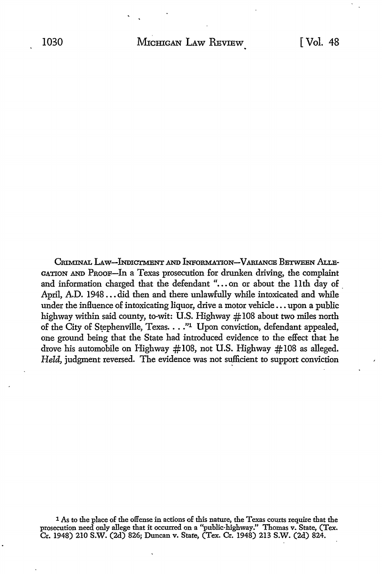CRIMINAL LAW--INDICTMENT AND INFORMATION-VARIANCE BETWEEN ALLE-GATION AND PROOF-In a Texas prosecution for drunken driving, the complaint and information charged that the defendant "...on or about the 11th day of April, A.D. 1948 ..• did then and there unlawfully while intoxicated and while under the influence of intoxicating liquor, drive a motor vehicle ... upon a public highway within said county, to-wit: U.S. Highway #108 about two miles north of the City of Stephenville, Texas. . . . "1 Upon conviction, defendant appealed, one ground being that the State had introduced evidence to the effect that he drove his automobile on Highway  $\#108$ , not U.S. Highway  $\#108$  as alleged. *Held,* judgment reversed. The evidence was not sufficient to support conviction

<sup>1</sup> As to the place of the offense in actions of this nature, the Texas courts require that the prosecution need only allege that it occurred on a "public-highway." Thomas v. State, (Tex. Cr. 1948) 210 S.W. (2d) 826; Duncan v. State, (Tex. Cr. 1948) 213 S.W. (2d) 824.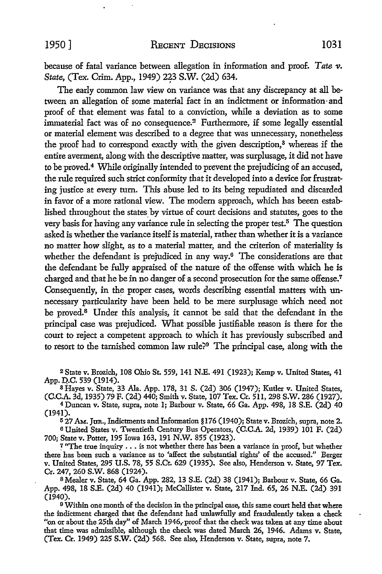because of fatal variance between allegation in information and proof. *Tate v. State, (Tex. Crim. App., 1949) 223 S.W. (2d) 634.* 

The early common law view on variance was that any discrepancy at all between an allegation of some material fact in an indictment or information-and proof of that element was fatal to a conviction, while a deviation as to some immaterial fact was of no consequence.2 Furthermore, if some legally essential or material element was described to a degree that was unnecessary, nonetheless the proof had to correspond exactly with the given description,<sup>3</sup> whereas if the entire averment, along with the descriptive matter, was surplusage, it did not have to be proved.4 While originally intended to prevent the prejudicing of an accused, the rule required such strict conformity that it developed into a device for frustrating justice at every turn. This abuse led to its being repudiated and discarded in favor of a more rational view. The modern approach, which has beeen established throughout the states by virtue of court decisions and statutes, goes to the very basis for having any variance rule in selecting the proper test.<sup>5</sup> The question asked is whether the variance itself is material, rather than whether it is a variance no matter how slight, as to a material matter, and the criterion of materiality is whether the defendant is prejudiced in any way.6 The considerations are that the defendant be fully appraised of the nature of the offense with which he is charged and that he be in no danger of a second prosecution for the same offense.<sup>7</sup> Consequently, in the proper cases, words describing essential matters with unnecessary particularity have been held to be mere surplusage which need not be proved.8 Under this analysis, it cannot be said that the defendant in the principal case was prejudiced. What possible justifiable reason is there for the court to reject a competent approach to which it has previously subscribed and to resort to the tarnished common law rule?<sup>9</sup> The principal case, along with the

<sup>2</sup>State v. Brozich, 108 Ohio St. 559, 141 N.E. 491 (1923); Kemp v. United States, 41 App. D.C. 539 (1914).

<sup>3</sup>Hayes v. State, 33 Ala. App. 178, 31 S. (2d) 306 (1947); Kutler v. United States, (C.C.A. 3d, 1935) 79 F. (2d) 440; Smith v. State, 107 Tex. Cr. 511, 298 S.W. 286 (1927).

<sup>4</sup>Duncan v. State, supra, note l; Barbour v. State, 66 Ga. App. 498, 18 S.E. (2d) 40 (1941).

5 27 AM. JUR,, Indictments and Information § 176 (1940); State v. Brozich, supra, note 2. <sup>6</sup>United States v. Twentieth Century Bus Operators, (C.C.A. 2d, 1939) 101 F. (2d) 700; State v. Potter, 195 Iowa 163, 191 N.W. 855 (1923).

? "The true inquiry  $\ldots$  is not whether there has been a variance in proof, but whether there has been such a variance as to 'affect the substantial rights' of the accused." Berger v. United States, 295 U.S. 78, 55 S.Ct. 629 (1935). See also, Henderson v. State, 97 Tex. Cr. 247,260 S.W. 868 (1924).

s Mealer v. State, 64 Ga. App. 282, 13 S.E. (2d) 38 (1941); Barbour v. State, 66 Ga. App. 498, 18 S.E. (2d) 40 (1941); McCallister v. State, 217 Ind. 65, 26 N.E. (2d) 391 (1940).

<sup>9</sup>Within one month of the decision in the principal case, this same court held that where the indictment charged that the defendant had unlawfully and fraudulently taken a check "on or about the 25th day" of March 1946, proof that the check was taken at any time about that time was admissible, although the check was dated March 26, 1946. Adams v. State, (Tex. Cr. 1949) 225 **S.W.** (2d) 568. See also, Henderson v. State, supra, note 7.